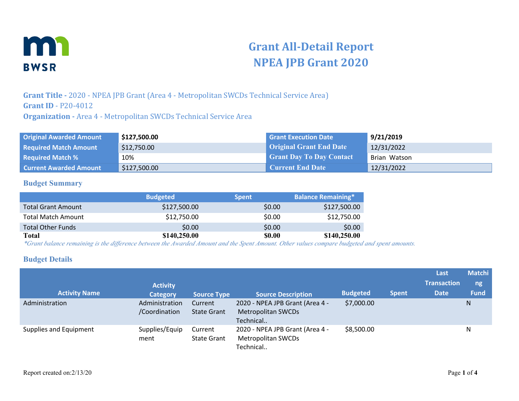

# **Grant All-Detail Report NPEA JPB Grant 2020**

**Grant Title -** 2020 - NPEA JPB Grant (Area 4 - Metropolitan SWCDs Technical Service Area) **Grant ID** - P20-4012 **Organization -** Area 4 - Metropolitan SWCDs Technical Service Area

| <b>Original Awarded Amount</b> | \$127,500.00 | <b>Grant Execution Date</b>     | 9/21/2019    |
|--------------------------------|--------------|---------------------------------|--------------|
| <b>Required Match Amount</b>   | \$12,750.00  | <b>Original Grant End Date</b>  | 12/31/2022   |
| <b>Required Match %</b>        | 10%          | <b>Grant Day To Day Contact</b> | Brian Watson |
| <b>Current Awarded Amount</b>  | \$127,500.00 | <b>Current End Date</b>         | 12/31/2022   |

#### **Budget Summary**

|                           | <b>Budgeted</b> | <b>Spent</b> | <b>Balance Remaining*</b> |
|---------------------------|-----------------|--------------|---------------------------|
| <b>Total Grant Amount</b> | \$127,500.00    | \$0.00       | \$127,500.00              |
| <b>Total Match Amount</b> | \$12,750.00     | \$0.00       | \$12,750.00               |
| <b>Total Other Funds</b>  | \$0.00          | \$0.00       | \$0.00                    |
| Total                     | \$140,250.00    | \$0.00       | \$140,250.00              |

*\*Grant balance remaining is the difference between the Awarded Amount and the Spent Amount. Other values compare budgeted and spent amounts.*

#### **Budget Details**

| <b>Activity Name</b>   | <b>Activity</b><br><b>Category</b> | <b>Source Type</b>            | <b>Source Description</b>                                                 | <b>Budgeted</b> | <b>Spent</b> | Last<br><b>Transaction</b><br><b>Date</b> | <b>Matchi</b><br>ng<br><b>Fund</b> |
|------------------------|------------------------------------|-------------------------------|---------------------------------------------------------------------------|-----------------|--------------|-------------------------------------------|------------------------------------|
| Administration         | Administration<br>/Coordination    | Current<br><b>State Grant</b> | 2020 - NPEA JPB Grant (Area 4 -<br><b>Metropolitan SWCDs</b><br>Technical | \$7,000.00      |              |                                           | N                                  |
| Supplies and Equipment | Supplies/Equip<br>ment             | Current<br><b>State Grant</b> | 2020 - NPEA JPB Grant (Area 4 -<br>Metropolitan SWCDs<br>Technical        | \$8,500.00      |              |                                           | N                                  |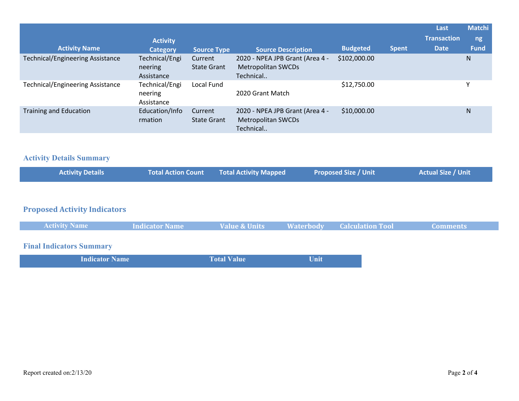|                                         | <b>Activity</b>                         |                               |                                                                           |                 |              | Last<br><b>Transaction</b> | <b>Matchi</b><br>ng, |
|-----------------------------------------|-----------------------------------------|-------------------------------|---------------------------------------------------------------------------|-----------------|--------------|----------------------------|----------------------|
| <b>Activity Name</b>                    | <b>Category</b>                         | <b>Source Type</b>            | <b>Source Description</b>                                                 | <b>Budgeted</b> | <b>Spent</b> | <b>Date</b>                | <b>Fund</b>          |
| <b>Technical/Engineering Assistance</b> | Technical/Engi<br>neering<br>Assistance | Current<br><b>State Grant</b> | 2020 - NPEA JPB Grant (Area 4 -<br><b>Metropolitan SWCDs</b><br>Technical | \$102,000.00    |              |                            | N                    |
| <b>Technical/Engineering Assistance</b> | Technical/Engi<br>neering<br>Assistance | Local Fund                    | 2020 Grant Match                                                          | \$12,750.00     |              |                            |                      |
| Training and Education                  | Education/Info<br>rmation               | Current<br><b>State Grant</b> | 2020 - NPEA JPB Grant (Area 4 -<br><b>Metropolitan SWCDs</b><br>Technical | \$10,000.00     |              |                            | N                    |

### **Activity Details Summary**

| <b>Activity Details</b> | Total Action Count Total Activity Mapped | <b>Proposed Size / Unit</b> | Actual Size / Unit |
|-------------------------|------------------------------------------|-----------------------------|--------------------|
|                         |                                          |                             |                    |

# **Proposed Activity Indicators**

| <b>Activity Name</b> | Indicator Name | Value & Units | <b>Example 18 Materbody</b> Calculation Tool | <b>Comments</b> |
|----------------------|----------------|---------------|----------------------------------------------|-----------------|
|                      |                |               |                                              |                 |

# **Final Indicators Summary**

| <b>Indicator Name</b> | <b>Total Value</b> | Unit |
|-----------------------|--------------------|------|
|                       |                    |      |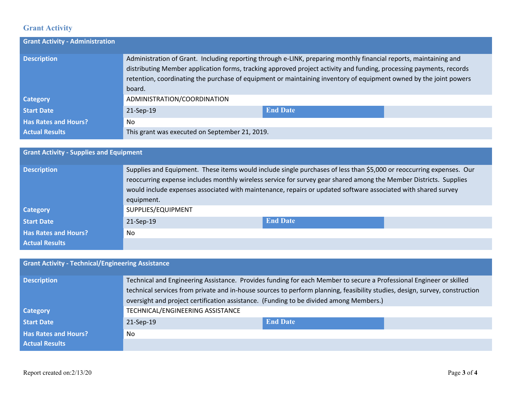### **Grant Activity**

| <b>Grant Activity - Administration</b> |                                                |                                                                                                                                                                                                                                                                                                                                                               |  |
|----------------------------------------|------------------------------------------------|---------------------------------------------------------------------------------------------------------------------------------------------------------------------------------------------------------------------------------------------------------------------------------------------------------------------------------------------------------------|--|
| <b>Description</b>                     | board.                                         | Administration of Grant. Including reporting through e-LINK, preparing monthly financial reports, maintaining and<br>distributing Member application forms, tracking approved project activity and funding, processing payments, records<br>retention, coordinating the purchase of equipment or maintaining inventory of equipment owned by the joint powers |  |
| <b>Category</b>                        | ADMINISTRATION/COORDINATION                    |                                                                                                                                                                                                                                                                                                                                                               |  |
| <b>Start Date</b>                      | 21-Sep-19                                      | <b>End Date</b>                                                                                                                                                                                                                                                                                                                                               |  |
| <b>Has Rates and Hours?</b>            | No.                                            |                                                                                                                                                                                                                                                                                                                                                               |  |
| <b>Actual Results</b>                  | This grant was executed on September 21, 2019. |                                                                                                                                                                                                                                                                                                                                                               |  |

## **Grant Activity - Supplies and Equipment Description** Supplies and Equipment. These items would include single purchases of less than \$5,000 or reoccurring expenses. Our reoccurring expense includes monthly wireless service for survey gear shared among the Member Districts. Supplies would include expenses associated with maintenance, repairs or updated software associated with shared survey equipment. **Category Category** SUPPLIES/EQUIPMENT **Start Date** 21-Sep-19 **End Date Has Rates and Hours?** No **Actual Results**

### **Grant Activity - Technical/Engineering Assistance**

| <b>Description</b>          | Technical and Engineering Assistance. Provides funding for each Member to secure a Professional Engineer or skilled         |                 |  |  |  |
|-----------------------------|-----------------------------------------------------------------------------------------------------------------------------|-----------------|--|--|--|
|                             | technical services from private and in-house sources to perform planning, feasibility studies, design, survey, construction |                 |  |  |  |
|                             | oversight and project certification assistance. (Funding to be divided among Members.)                                      |                 |  |  |  |
| <b>Category</b>             | TECHNICAL/ENGINEERING ASSISTANCE                                                                                            |                 |  |  |  |
| <b>Start Date</b>           | 21-Sep-19                                                                                                                   | <b>End Date</b> |  |  |  |
| <b>Has Rates and Hours?</b> | No.                                                                                                                         |                 |  |  |  |
| <b>Actual Results</b>       |                                                                                                                             |                 |  |  |  |